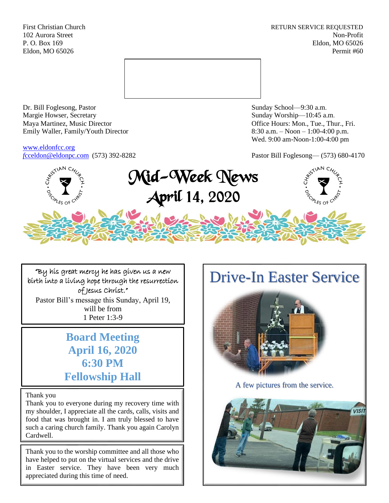First Christian Church **RETURN SERVICE REQUESTED** 102 Aurora Street Non-Profit P. O. Box 169 Eldon, MO 65026 Eldon, MO 65026 Permit #60



Dr. Bill Foglesong, Pastor Sunday School—9:30 a.m. Margie Howser, Secretary Sunday Worship—10:45 a.m. Maya Martinez, Music Director Office Hours: Mon., Tue., Thur., Fri. Emily Waller, Family/Youth Director 8:30 a.m. – Noon – 1:00-4:00 p.m.

[www.eldonfcc.org](http://www.eldonfcc.org/)

Wed. 9:00 am-Noon-1:00-4:00 pm

*f*[cceldon@eldonpc.com](mailto:fcceldon@eldonpc.com) (573) 392-8282 Pastor Bill Foglesong— (573) 680-4170



"By his great mercy he has given us a new birth into a living hope through the resurrection of Jesus Christ." Pastor Bill's message this Sunday, April 19,

> will be from 1 Peter 1:3-9

**Board Meeting April 16, 2020 6:30 PM Fellowship Hall**

Thank you

Thank you to everyone during my recovery time with my shoulder, I appreciate all the cards, calls, visits and food that was brought in. I am truly blessed to have such a caring church family. Thank you again Carolyn Cardwell.

Thank you to the worship committee and all those who have helped to put on the virtual services and the drive in Easter service. They have been very much appreciated during this time of need.



A few pictures from the service.